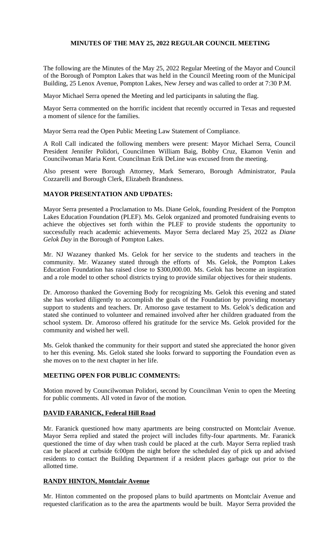# **MINUTES OF THE MAY 25, 2022 REGULAR COUNCIL MEETING**

The following are the Minutes of the May 25, 2022 Regular Meeting of the Mayor and Council of the Borough of Pompton Lakes that was held in the Council Meeting room of the Municipal Building, 25 Lenox Avenue, Pompton Lakes, New Jersey and was called to order at 7:30 P.M.

Mayor Michael Serra opened the Meeting and led participants in saluting the flag.

Mayor Serra commented on the horrific incident that recently occurred in Texas and requested a moment of silence for the families.

Mayor Serra read the Open Public Meeting Law Statement of Compliance.

A Roll Call indicated the following members were present: Mayor Michael Serra, Council President Jennifer Polidori, Councilmen William Baig, Bobby Cruz, Ekamon Venin and Councilwoman Maria Kent. Councilman Erik DeLine was excused from the meeting.

Also present were Borough Attorney, Mark Semeraro, Borough Administrator, Paula Cozzarelli and Borough Clerk, Elizabeth Brandsness.

# **MAYOR PRESENTATION AND UPDATES:**

Mayor Serra presented a Proclamation to Ms. Diane Gelok, founding President of the Pompton Lakes Education Foundation (PLEF). Ms. Gelok organized and promoted fundraising events to achieve the objectives set forth within the PLEF to provide students the opportunity to successfully reach academic achievements. Mayor Serra declared May 25, 2022 as *Diane Gelok Day* in the Borough of Pompton Lakes.

Mr. NJ Wazaney thanked Ms. Gelok for her service to the students and teachers in the community. Mr. Wazaney stated through the efforts of Ms. Gelok, the Pompton Lakes Education Foundation has raised close to \$300,000.00. Ms. Gelok has become an inspiration and a role model to other school districts trying to provide similar objectives for their students.

Dr. Amoroso thanked the Governing Body for recognizing Ms. Gelok this evening and stated she has worked diligently to accomplish the goals of the Foundation by providing monetary support to students and teachers. Dr. Amoroso gave testament to Ms. Gelok's dedication and stated she continued to volunteer and remained involved after her children graduated from the school system. Dr. Amoroso offered his gratitude for the service Ms. Gelok provided for the community and wished her well.

Ms. Gelok thanked the community for their support and stated she appreciated the honor given to her this evening. Ms. Gelok stated she looks forward to supporting the Foundation even as she moves on to the next chapter in her life.

# **MEETING OPEN FOR PUBLIC COMMENTS:**

Motion moved by Councilwoman Polidori, second by Councilman Venin to open the Meeting for public comments. All voted in favor of the motion.

# **DAVID FARANICK, Federal Hill Road**

Mr. Faranick questioned how many apartments are being constructed on Montclair Avenue. Mayor Serra replied and stated the project will includes fifty-four apartments. Mr. Faranick questioned the time of day when trash could be placed at the curb. Mayor Serra replied trash can be placed at curbside 6:00pm the night before the scheduled day of pick up and advised residents to contact the Building Department if a resident places garbage out prior to the allotted time.

# **RANDY HINTON, Montclair Avenue**

Mr. Hinton commented on the proposed plans to build apartments on Montclair Avenue and requested clarification as to the area the apartments would be built. Mayor Serra provided the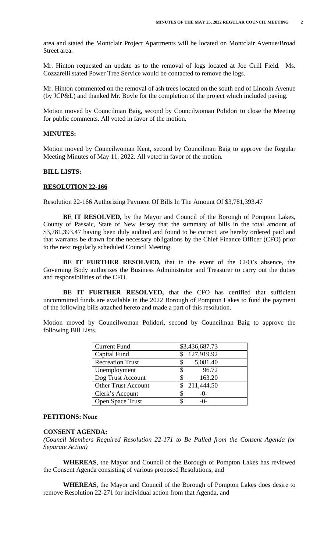area and stated the Montclair Project Apartments will be located on Montclair Avenue/Broad Street area.

Mr. Hinton requested an update as to the removal of logs located at Joe Grill Field. Ms. Cozzarelli stated Power Tree Service would be contacted to remove the logs.

Mr. Hinton commented on the removal of ash trees located on the south end of Lincoln Avenue (by JCP&L) and thanked Mr. Boyle for the completion of the project which included paving.

Motion moved by Councilman Baig, second by Councilwoman Polidori to close the Meeting for public comments. All voted in favor of the motion.

### **MINUTES:**

Motion moved by Councilwoman Kent, second by Councilman Baig to approve the Regular Meeting Minutes of May 11, 2022. All voted in favor of the motion.

#### **BILL LISTS:**

#### **RESOLUTION 22-166**

Resolution 22-166 Authorizing Payment Of Bills In The Amount Of \$3,781,393.47

**BE IT RESOLVED,** by the Mayor and Council of the Borough of Pompton Lakes, County of Passaic, State of New Jersey that the summary of bills in the total amount of \$3,781,393.47 having been duly audited and found to be correct, are hereby ordered paid and that warrants be drawn for the necessary obligations by the Chief Finance Officer (CFO) prior to the next regularly scheduled Council Meeting.

**BE IT FURTHER RESOLVED,** that in the event of the CFO's absence, the Governing Body authorizes the Business Administrator and Treasurer to carry out the duties and responsibilities of the CFO.

**BE IT FURTHER RESOLVED,** that the CFO has certified that sufficient uncommitted funds are available in the 2022 Borough of Pompton Lakes to fund the payment of the following bills attached hereto and made a part of this resolution.

Motion moved by Councilwoman Polidori, second by Councilman Baig to approve the following Bill Lists.

| <b>Current Fund</b>        | \$3,436,687.73 |
|----------------------------|----------------|
| Capital Fund               | 127,919.92     |
| <b>Recreation Trust</b>    | 5,081.40<br>S  |
| Unemployment               | 96.72          |
| Dog Trust Account          | 163.20<br>S    |
| <b>Other Trust Account</b> | 211,444.50     |
| Clerk's Account            | S<br>$-()$ -   |
| <b>Open Space Trust</b>    | $-()$          |

#### **PETITIONS: None**

### **CONSENT AGENDA:**

*(Council Members Required Resolution 22-171 to Be Pulled from the Consent Agenda for Separate Action)*

**WHEREAS**, the Mayor and Council of the Borough of Pompton Lakes has reviewed the Consent Agenda consisting of various proposed Resolutions, and

**WHEREAS**, the Mayor and Council of the Borough of Pompton Lakes does desire to remove Resolution 22-271 for individual action from that Agenda, and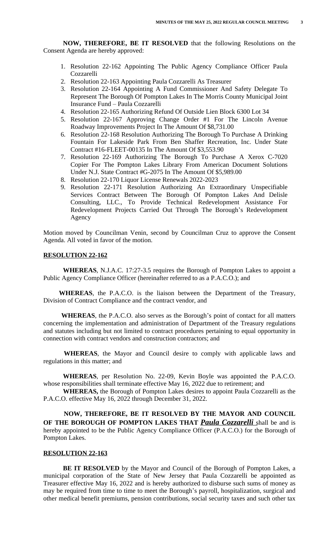**NOW, THEREFORE, BE IT RESOLVED** that the following Resolutions on the Consent Agenda are hereby approved:

- 1. Resolution 22-162 Appointing The Public Agency Compliance Officer Paula Cozzarelli
- 2. Resolution 22-163 Appointing Paula Cozzarelli As Treasurer
- 3. Resolution 22-164 Appointing A Fund Commissioner And Safety Delegate To Represent The Borough Of Pompton Lakes In The Morris County Municipal Joint Insurance Fund – Paula Cozzarelli
- 4. Resolution 22-165 Authorizing Refund Of Outside Lien Block 6300 Lot 34
- 5. Resolution 22-167 Approving Change Order #1 For The Lincoln Avenue Roadway Improvements Project In The Amount Of \$8,731.00
- 6. Resolution 22-168 Resolution Authorizing The Borough To Purchase A Drinking Fountain For Lakeside Park From Ben Shaffer Recreation, Inc. Under State Contract #16-FLEET-00135 In The Amount Of \$3,553.90
- 7. Resolution 22-169 Authorizing The Borough To Purchase A Xerox C-7020 Copier For The Pompton Lakes Library From American Document Solutions Under N.J. State Contract #G-2075 In The Amount Of \$5,989.00
- 8. Resolution 22-170 Liquor License Renewals 2022-2023
- 9. Resolution 22-171 Resolution Authorizing An Extraordinary Unspecifiable Services Contract Between The Borough Of Pompton Lakes And Delisle Consulting, LLC., To Provide Technical Redevelopment Assistance For Redevelopment Projects Carried Out Through The Borough's Redevelopment Agency

Motion moved by Councilman Venin, second by Councilman Cruz to approve the Consent Agenda. All voted in favor of the motion.

#### **RESOLUTION 22-162**

**WHEREAS**, N.J.A.C. 17:27-3.5 requires the Borough of Pompton Lakes to appoint a Public Agency Compliance Officer (hereinafter referred to as a P.A.C.O.); and

**WHEREAS**, the P.A.C.O. is the liaison between the Department of the Treasury, Division of Contract Compliance and the contract vendor, and

**WHEREAS**, the P.A.C.O. also serves as the Borough's point of contact for all matters concerning the implementation and administration of Department of the Treasury regulations and statutes including but not limited to contract procedures pertaining to equal opportunity in connection with contract vendors and construction contractors; and

**WHEREAS**, the Mayor and Council desire to comply with applicable laws and regulations in this matter; and

**WHEREAS**, per Resolution No. 22-09, Kevin Boyle was appointed the P.A.C.O. whose responsibilities shall terminate effective May 16, 2022 due to retirement; and

**WHEREAS,** the Borough of Pompton Lakes desires to appoint Paula Cozzarelli as the P.A.C.O. effective May 16, 2022 through December 31, 2022.

**NOW, THEREFORE, BE IT RESOLVED BY THE MAYOR AND COUNCIL OF THE BOROUGH OF POMPTON LAKES THAT** *Paula Cozzarelli* shall be and is hereby appointed to be the Public Agency Compliance Officer (P.A.C.O.) for the Borough of Pompton Lakes.

## **RESOLUTION 22-163**

**BE IT RESOLVED** by the Mayor and Council of the Borough of Pompton Lakes, a municipal corporation of the State of New Jersey that Paula Cozzarelli be appointed as Treasurer effective May 16, 2022 and is hereby authorized to disburse such sums of money as may be required from time to time to meet the Borough's payroll, hospitalization, surgical and other medical benefit premiums, pension contributions, social security taxes and such other tax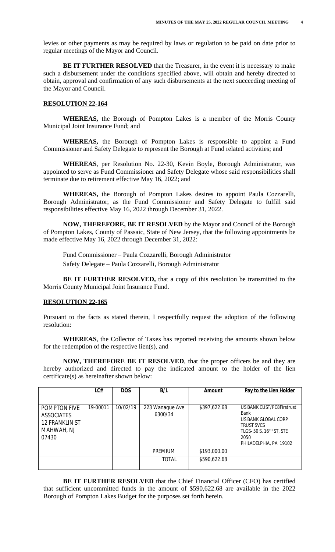levies or other payments as may be required by laws or regulation to be paid on date prior to regular meetings of the Mayor and Council.

**BE IT FURTHER RESOLVED** that the Treasurer, in the event it is necessary to make such a disbursement under the conditions specified above, will obtain and hereby directed to obtain, approval and confirmation of any such disbursements at the next succeeding meeting of the Mayor and Council.

### **RESOLUTION 22-164**

**WHEREAS,** the Borough of Pompton Lakes is a member of the Morris County Municipal Joint Insurance Fund; and

**WHEREAS,** the Borough of Pompton Lakes is responsible to appoint a Fund Commissioner and Safety Delegate to represent the Borough at Fund related activities; and

**WHEREAS**, per Resolution No. 22-30, Kevin Boyle, Borough Administrator, was appointed to serve as Fund Commissioner and Safety Delegate whose said responsibilities shall terminate due to retirement effective May 16, 2022; and

**WHEREAS,** the Borough of Pompton Lakes desires to appoint Paula Cozzarelli, Borough Administrator, as the Fund Commissioner and Safety Delegate to fulfill said responsibilities effective May 16, 2022 through December 31, 2022.

**NOW, THEREFORE, BE IT RESOLVED** by the Mayor and Council of the Borough of Pompton Lakes, County of Passaic, State of New Jersey, that the following appointments be made effective May 16, 2022 through December 31, 2022:

Fund Commissioner – Paula Cozzarelli, Borough Administrator

Safety Delegate – Paula Cozzarelli, Borough Administrator

**BE IT FURTHER RESOLVED,** that a copy of this resolution be transmitted to the Morris County Municipal Joint Insurance Fund.

### **RESOLUTION 22-165**

Pursuant to the facts as stated therein, I respectfully request the adoption of the following resolution:

**WHEREAS**, the Collector of Taxes has reported receiving the amounts shown below for the redemption of the respective lien(s), and

**NOW, THEREFORE BE IT RESOLVED**, that the proper officers be and they are hereby authorized and directed to pay the indicated amount to the holder of the lien certificate(s) as hereinafter shown below:

|                                                                                          | LC#      | <b>DOS</b> | B/L                        | Amount       | Pay to the Lien Holder                                                                                                                                  |
|------------------------------------------------------------------------------------------|----------|------------|----------------------------|--------------|---------------------------------------------------------------------------------------------------------------------------------------------------------|
|                                                                                          |          |            |                            |              |                                                                                                                                                         |
| <b>POMPTON FIVE</b><br><b>ASSOCIATES</b><br><b>12 FRANKLIN ST</b><br>MAHWAH, NJ<br>07430 | 19-00011 | 10/02/19   | 223 Wanaque Ave<br>6300/34 | \$397,622.68 | US BANK CUST/PC8Firstrust<br>Bank<br>US BANK GLOBAL CORP<br><b>TRUST SVCS</b><br>TLGS- 50 S. 16 <sup>TH</sup> ST, STE<br>2050<br>PHILADELPHIA, PA 19102 |
|                                                                                          |          |            | <b>PREMIUM</b>             | \$193,000.00 |                                                                                                                                                         |
|                                                                                          |          |            | <b>TOTAL</b>               | \$590,622.68 |                                                                                                                                                         |

**BE IT FURTHER RESOLVED** that the Chief Financial Officer (CFO) has certified that sufficient uncommitted funds in the amount of \$590,622.68 are available in the 2022 Borough of Pompton Lakes Budget for the purposes set forth herein.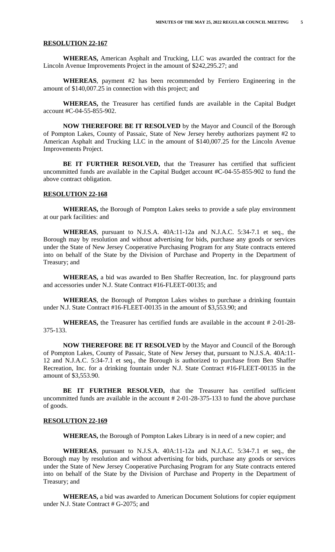### **RESOLUTION 22-167**

**WHEREAS,** American Asphalt and Trucking, LLC was awarded the contract for the Lincoln Avenue Improvements Project in the amount of \$242,295.27; and

**WHEREAS**, payment #2 has been recommended by Ferriero Engineering in the amount of \$140,007.25 in connection with this project; and

**WHEREAS,** the Treasurer has certified funds are available in the Capital Budget account #C-04-55-855-902.

**NOW THEREFORE BE IT RESOLVED** by the Mayor and Council of the Borough of Pompton Lakes, County of Passaic, State of New Jersey hereby authorizes payment #2 to American Asphalt and Trucking LLC in the amount of \$140,007.25 for the Lincoln Avenue Improvements Project.

**BE IT FURTHER RESOLVED,** that the Treasurer has certified that sufficient uncommitted funds are available in the Capital Budget account #C-04-55-855-902 to fund the above contract obligation.

### **RESOLUTION 22-168**

**WHEREAS,** the Borough of Pompton Lakes seeks to provide a safe play environment at our park facilities: and

**WHEREAS**, pursuant to N.J.S.A. 40A:11-12a and N.J.A.C. 5:34-7.1 et seq., the Borough may by resolution and without advertising for bids, purchase any goods or services under the State of New Jersey Cooperative Purchasing Program for any State contracts entered into on behalf of the State by the Division of Purchase and Property in the Department of Treasury; and

**WHEREAS,** a bid was awarded to Ben Shaffer Recreation, Inc. for playground parts and accessories under N.J. State Contract #16-FLEET-00135; and

**WHEREAS**, the Borough of Pompton Lakes wishes to purchase a drinking fountain under N.J. State Contract #16-FLEET-00135 in the amount of \$3,553.90; and

**WHEREAS,** the Treasurer has certified funds are available in the account # 2-01-28- 375-133.

**NOW THEREFORE BE IT RESOLVED** by the Mayor and Council of the Borough of Pompton Lakes, County of Passaic, State of New Jersey that, pursuant to N.J.S.A. 40A:11- 12 and N.J.A.C. 5:34-7.1 et seq., the Borough is authorized to purchase from Ben Shaffer Recreation, Inc. for a drinking fountain under N.J. State Contract #16-FLEET-00135 in the amount of \$3,553.90.

**BE IT FURTHER RESOLVED,** that the Treasurer has certified sufficient uncommitted funds are available in the account # 2-01-28-375-133 to fund the above purchase of goods.

#### **RESOLUTION 22-169**

**WHEREAS,** the Borough of Pompton Lakes Library is in need of a new copier; and

**WHEREAS**, pursuant to N.J.S.A. 40A:11-12a and N.J.A.C. 5:34-7.1 et seq., the Borough may by resolution and without advertising for bids, purchase any goods or services under the State of New Jersey Cooperative Purchasing Program for any State contracts entered into on behalf of the State by the Division of Purchase and Property in the Department of Treasury; and

**WHEREAS,** a bid was awarded to American Document Solutions for copier equipment under N.J. State Contract # G-2075; and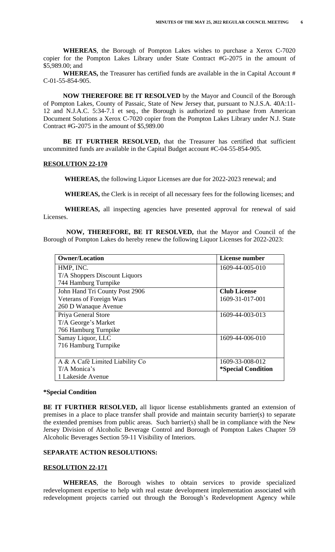**WHEREAS**, the Borough of Pompton Lakes wishes to purchase a Xerox C-7020 copier for the Pompton Lakes Library under State Contract #G-2075 in the amount of \$5,989.00; and

**WHEREAS,** the Treasurer has certified funds are available in the in Capital Account # C-01-55-854-905.

**NOW THEREFORE BE IT RESOLVED** by the Mayor and Council of the Borough of Pompton Lakes, County of Passaic, State of New Jersey that, pursuant to N.J.S.A. 40A:11- 12 and N.J.A.C. 5:34-7.1 et seq., the Borough is authorized to purchase from American Document Solutions a Xerox C-7020 copier from the Pompton Lakes Library under N.J. State Contract #G-2075 in the amount of \$5,989.00

**BE IT FURTHER RESOLVED,** that the Treasurer has certified that sufficient uncommitted funds are available in the Capital Budget account #C-04-55-854-905.

#### **RESOLUTION 22-170**

**WHEREAS,** the following Liquor Licenses are due for 2022-2023 renewal; and

**WHEREAS,** the Clerk is in receipt of all necessary fees for the following licenses; and

 **WHEREAS,** all inspecting agencies have presented approval for renewal of said Licenses.

 **NOW, THEREFORE, BE IT RESOLVED,** that the Mayor and Council of the Borough of Pompton Lakes do hereby renew the following Liquor Licenses for 2022-2023:

| <b>Owner/Location</b>           | License number                   |
|---------------------------------|----------------------------------|
| HMP, INC.                       | 1609-44-005-010                  |
| T/A Shoppers Discount Liquors   |                                  |
| 744 Hamburg Turnpike            |                                  |
| John Hand Tri County Post 2906  | <b>Club License</b>              |
| <b>Veterans of Foreign Wars</b> | 1609-31-017-001                  |
| 260 D Wanaque Avenue            |                                  |
| Priya General Store             | 1609-44-003-013                  |
| T/A George's Market             |                                  |
| 766 Hamburg Turnpike            |                                  |
| Samay Liquor, LLC               | 1609-44-006-010                  |
| 716 Hamburg Turnpike            |                                  |
|                                 |                                  |
| A & A Café Limited Liability Co | 1609-33-008-012                  |
| T/A Monica's                    | <i><b>*Special Condition</b></i> |
| 1 Lakeside Avenue               |                                  |

### **\*Special Condition**

**BE IT FURTHER RESOLVED,** all liquor license establishments granted an extension of premises in a place to place transfer shall provide and maintain security barrier(s) to separate the extended premises from public areas. Such barrier(s) shall be in compliance with the New Jersey Division of Alcoholic Beverage Control and Borough of Pompton Lakes Chapter 59 Alcoholic Beverages Section 59-11 Visibility of Interiors.

### **SEPARATE ACTION RESOLUTIONS:**

#### **RESOLUTION 22-171**

**WHEREAS**, the Borough wishes to obtain services to provide specialized redevelopment expertise to help with real estate development implementation associated with redevelopment projects carried out through the Borough's Redevelopment Agency while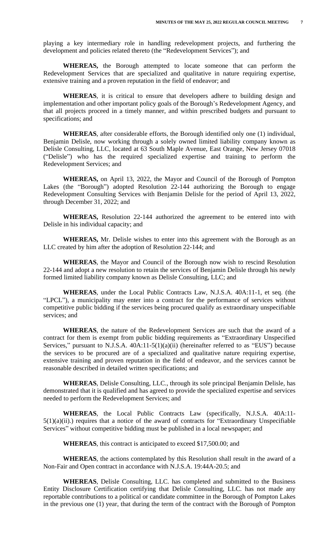playing a key intermediary role in handling redevelopment projects, and furthering the development and policies related thereto (the "Redevelopment Services"); and

**WHEREAS,** the Borough attempted to locate someone that can perform the Redevelopment Services that are specialized and qualitative in nature requiring expertise, extensive training and a proven reputation in the field of endeavor; and

**WHEREAS**, it is critical to ensure that developers adhere to building design and implementation and other important policy goals of the Borough's Redevelopment Agency, and that all projects proceed in a timely manner, and within prescribed budgets and pursuant to specifications; and

**WHEREAS**, after considerable efforts, the Borough identified only one (1) individual, Benjamin Delisle, now working through a solely owned limited liability company known as Delisle Consulting, LLC, located at 63 South Maple Avenue, East Orange, New Jersey 07018 ("Delisle") who has the required specialized expertise and training to perform the Redevelopment Services; and

**WHEREAS,** on April 13, 2022, the Mayor and Council of the Borough of Pompton Lakes (the "Borough") adopted Resolution 22-144 authorizing the Borough to engage Redevelopment Consulting Services with Benjamin Delisle for the period of April 13, 2022, through December 31, 2022; and

**WHEREAS,** Resolution 22-144 authorized the agreement to be entered into with Delisle in his individual capacity; and

**WHEREAS,** Mr. Delisle wishes to enter into this agreement with the Borough as an LLC created by him after the adoption of Resolution 22-144; and

**WHEREAS**, the Mayor and Council of the Borough now wish to rescind Resolution 22-144 and adopt a new resolution to retain the services of Benjamin Delisle through his newly formed limited liability company known as Delisle Consulting, LLC; and

**WHEREAS**, under the Local Public Contracts Law, N.J.S.A. 40A:11-1, et seq. (the "LPCL"), a municipality may enter into a contract for the performance of services without competitive public bidding if the services being procured qualify as extraordinary unspecifiable services; and

**WHEREAS**, the nature of the Redevelopment Services are such that the award of a contract for them is exempt from public bidding requirements as "Extraordinary Unspecified Services," pursuant to N.J.S.A. 40A:11-5(1)(a)(ii) (hereinafter referred to as "EUS") because the services to be procured are of a specialized and qualitative nature requiring expertise, extensive training and proven reputation in the field of endeavor, and the services cannot be reasonable described in detailed written specifications; and

**WHEREAS**, Delisle Consulting, LLC., through its sole principal Benjamin Delisle, has demonstrated that it is qualified and has agreed to provide the specialized expertise and services needed to perform the Redevelopment Services; and

**WHEREAS**, the Local Public Contracts Law (specifically, N.J.S.A. 40A:11-  $5(1)(a)(ii)$ .) requires that a notice of the award of contracts for "Extraordinary Unspecifiable Services" without competitive bidding must be published in a local newspaper; and

**WHEREAS**, this contract is anticipated to exceed \$17,500.00; and

**WHEREAS**, the actions contemplated by this Resolution shall result in the award of a Non-Fair and Open contract in accordance with N.J.S.A. 19:44A-20.5; and

**WHEREAS**, Delisle Consulting, LLC. has completed and submitted to the Business Entity Disclosure Certification certifying that Delisle Consulting, LLC. has not made any reportable contributions to a political or candidate committee in the Borough of Pompton Lakes in the previous one (1) year, that during the term of the contract with the Borough of Pompton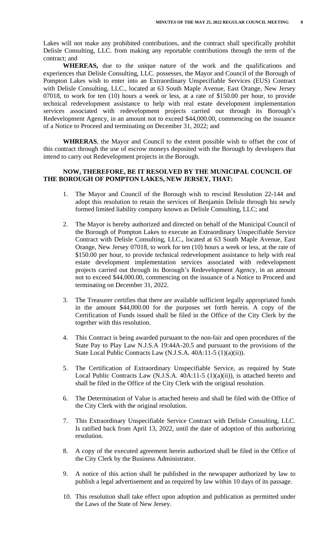Lakes will not make any prohibited contributions, and the contract shall specifically prohibit Delisle Consulting, LLC. from making any reportable contributions through the term of the contract; and

**WHEREAS,** due to the unique nature of the work and the qualifications and experiences that Delisle Consulting, LLC. possesses, the Mayor and Council of the Borough of Pompton Lakes wish to enter into an Extraordinary Unspecifiable Services (EUS) Contract with Delisle Consulting, LLC., located at 63 South Maple Avenue, East Orange, New Jersey 07018, to work for ten (10) hours a week or less, at a rate of \$150.00 per hour, to provide technical redevelopment assistance to help with real estate development implementation services associated with redevelopment projects carried out through its Borough's Redevelopment Agency, in an amount not to exceed \$44,000.00, commencing on the issuance of a Notice to Proceed and terminating on December 31, 2022; and

**WHRERAS**, the Mayor and Council to the extent possible wish to offset the cost of this contract through the use of escrow moneys deposited with the Borough by developers that intend to carry out Redevelopment projects in the Borough.

## **NOW, THEREFORE, BE IT RESOLVED BY THE MUNICIPAL COUNCIL OF THE BOROUGH OF POMPTON LAKES, NEW JERSEY, THAT:**

- 1. The Mayor and Council of the Borough wish to rescind Resolution 22-144 and adopt this resolution to retain the services of Benjamin Delisle through his newly formed limited liability company known as Delisle Consulting, LLC; and
- 2. The Mayor is hereby authorized and directed on behalf of the Municipal Council of the Borough of Pompton Lakes to execute an Extraordinary Unspecifiable Service Contract with Delisle Consulting, LLC., located at 63 South Maple Avenue, East Orange, New Jersey 07018, to work for ten (10) hours a week or less, at the rate of \$150.00 per hour, to provide technical redevelopment assistance to help with real estate development implementation services associated with redevelopment projects carried out through its Borough's Redevelopment Agency, in an amount not to exceed \$44,000.00, commencing on the issuance of a Notice to Proceed and terminating on December 31, 2022.
- 3. The Treasurer certifies that there are available sufficient legally appropriated funds in the amount \$44,000.00 for the purposes set forth herein. A copy of the Certification of Funds issued shall be filed in the Office of the City Clerk by the together with this resolution.
- 4. This Contract is being awarded pursuant to the non-fair and open procedures of the State Pay to Play Law N.J.S.A 19:44A-20.5 and pursuant to the provisions of the State Local Public Contracts Law (N.J.S.A. 40A:11-5 (1)(a)(ii)).
- 5. The Certification of Extraordinary Unspecifiable Service, as required by State Local Public Contracts Law (N.J.S.A. 40A:11-5 (1)(a)(ii)), is attached hereto and shall be filed in the Office of the City Clerk with the original resolution.
- 6. The Determination of Value is attached hereto and shall be filed with the Office of the City Clerk with the original resolution.
- 7. This Extraordinary Unspecifiable Service Contract with Delisle Consulting, LLC. Is ratified back from April 13, 2022, until the date of adoption of this authorizing resolution.
- 8. A copy of the executed agreement herein authorized shall be filed in the Office of the City Clerk by the Business Administrator.
- 9. A notice of this action shall be published in the newspaper authorized by law to publish a legal advertisement and as required by law within 10 days of its passage.
- 10. This resolution shall take effect upon adoption and publication as permitted under the Laws of the State of New Jersey.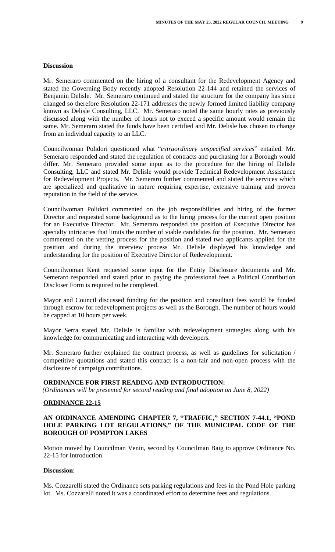#### **Discussion**

Mr. Semeraro commented on the hiring of a consultant for the Redevelopment Agency and stated the Governing Body recently adopted Resolution 22-144 and retained the services of Benjamin Delisle. Mr. Semeraro continued and stated the structure for the company has since changed so therefore Resolution 22-171 addresses the newly formed limited liability company known as Delisle Consulting, LLC. Mr. Semeraro noted the same hourly rates as previously discussed along with the number of hours not to exceed a specific amount would remain the same. Mr. Semeraro stated the funds have been certified and Mr. Delisle has chosen to change from an individual capacity to an LLC.

Councilwoman Polidori questioned what "*extraordinary unspecified services*" entailed. Mr. Semeraro responded and stated the regulation of contracts and purchasing for a Borough would differ. Mr. Semeraro provided some input as to the procedure for the hiring of Delisle Consulting, LLC and stated Mr. Delisle would provide Technical Redevelopment Assistance for Redevelopment Projects. Mr. Semeraro further commented and stated the services which are specialized and qualitative in nature requiring expertise, extensive training and proven reputation in the field of the service.

Councilwoman Polidori commented on the job responsibilities and hiring of the former Director and requested some background as to the hiring process for the current open position for an Executive Director. Mr. Semeraro responded the position of Executive Director has specialty intricacies that limits the number of viable candidates for the position. Mr. Semeraro commented on the vetting process for the position and stated two applicants applied for the position and during the interview process Mr. Delisle displayed his knowledge and understanding for the position of Executive Director of Redevelopment.

Councilwoman Kent requested some input for the Entity Disclosure documents and Mr. Semeraro responded and stated prior to paying the professional fees a Political Contribution Discloser Form is required to be completed.

Mayor and Council discussed funding for the position and consultant fees would be funded through escrow for redevelopment projects as well as the Borough. The number of hours would be capped at 10 hours per week.

Mayor Serra stated Mr. Delisle is familiar with redevelopment strategies along with his knowledge for communicating and interacting with developers.

Mr. Semeraro further explained the contract process, as well as guidelines for solicitation / competitive quotations and stated this contract is a non-fair and non-open process with the disclosure of campaign contributions.

### **ORDINANCE FOR FIRST READING AND INTRODUCTION:**

 *(Ordinances will be presented for second reading and final adoption on June 8, 2022)*

### **ORDINANCE 22-15**

### **AN ORDINANCE AMENDING CHAPTER 7, "TRAFFIC, " SECTION 7-44.1, "POND HOLE PARKING LOT REGULATIONS, " OF THE MUNICIPAL CODE OF THE BOROUGH OF POMPTON LAKES**

Motion moved by Councilman Venin, second by Councilman Baig to approve Ordinance No. 22-15 for Introduction.

#### **Discussion**:

Ms. Cozzarelli stated the Ordinance sets parking regulations and fees in the Pond Hole parking lot. Ms. Cozzarelli noted it was a coordinated effort to determine fees and regulations.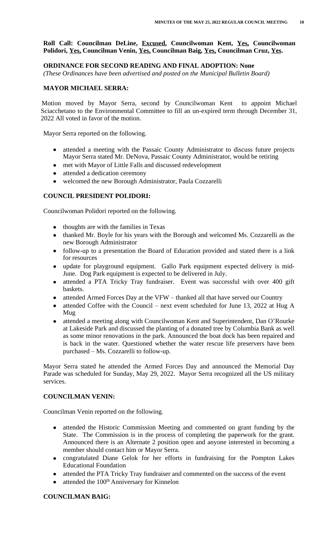# **Roll Call: Councilman DeLine, Excused. Councilwoman Kent, Yes, Councilwoman Polidori, Yes, Councilman Venin, Yes, Councilman Baig, Yes, Councilman Cruz, Yes.**

# **ORDINANCE FOR SECOND READING AND FINAL ADOPTION: None**

 *(These Ordinances have been advertised and posted on the Municipal Bulletin Board)*

# **MAYOR MICHAEL SERRA:**

Motion moved by Mayor Serra, second by Councilwoman Kent to appoint Michael Sciacchetano to the Environmental Committee to fill an un-expired term through December 31, 2022 All voted in favor of the motion.

Mayor Serra reported on the following.

- attended a meeting with the Passaic County Administrator to discuss future projects Mayor Serra stated Mr. DeNova, Passaic County Administrator, would be retiring
- met with Mayor of Little Falls and discussed redevelopment
- attended a dedication ceremony
- welcomed the new Borough Administrator, Paula Cozzarelli

# **COUNCIL PRESIDENT POLIDORI:**

Councilwoman Polidori reported on the following.

- thoughts are with the families in Texas
- thanked Mr. Boyle for his years with the Borough and welcomed Ms. Cozzarelli as the new Borough Administrator
- follow-up to a presentation the Board of Education provided and stated there is a link for resources
- update for playground equipment. Gallo Park equipment expected delivery is mid-June. Dog Park equipment is expected to be delivered in July.
- attended a PTA Tricky Tray fundraiser. Event was successful with over 400 gift baskets.
- attended Armed Forces Day at the VFW thanked all that have served our Country
- attended Coffee with the Council next event scheduled for June 13, 2022 at Hug A Mug
- attended a meeting along with Councilwoman Kent and Superintendent, Dan O'Rourke at Lakeside Park and discussed the planting of a donated tree by Columbia Bank as well as some minor renovations in the park. Announced the boat dock has been repaired and is back in the water. Questioned whether the water rescue life preservers have been purchased – Ms. Cozzarelli to follow-up.

Mayor Serra stated he attended the Armed Forces Day and announced the Memorial Day Parade was scheduled for Sunday, May 29, 2022. Mayor Serra recognized all the US military services.

# **COUNCILMAN VENIN:**

Councilman Venin reported on the following.

- attended the Historic Commission Meeting and commented on grant funding by the State. The Commission is in the process of completing the paperwork for the grant. Announced there is an Alternate 2 position open and anyone interested in becoming a member should contact him or Mayor Serra.
- congratulated Diane Gelok for her efforts in fundraising for the Pompton Lakes Educational Foundation
- attended the PTA Tricky Tray fundraiser and commented on the success of the event
- $\bullet$  attended the 100<sup>th</sup> Anniversary for Kinnelon

## **COUNCILMAN BAIG:**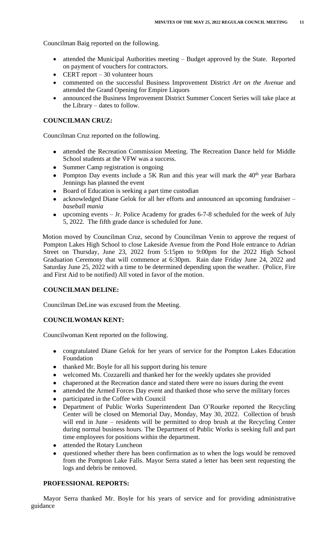Councilman Baig reported on the following.

- attended the Municipal Authorities meeting Budget approved by the State. Reported on payment of vouchers for contractors.
- CERT report  $-30$  volunteer hours
- commented on the successful Business Improvement District *Art on the Avenue* and attended the Grand Opening for Empire Liquors
- announced the Business Improvement District Summer Concert Series will take place at the Library – dates to follow.

# **COUNCILMAN CRUZ:**

Councilman Cruz reported on the following.

- attended the Recreation Commission Meeting. The Recreation Dance held for Middle School students at the VFW was a success.
- Summer Camp registration is ongoing
- Pompton Day events include a 5K Run and this year will mark the  $40<sup>th</sup>$  year Barbara Jennings has planned the event
- Board of Education is seeking a part time custodian
- acknowledged Diane Gelok for all her efforts and announced an upcoming fundraiser *baseball mania*
- upcoming events Jr. Police Academy for grades 6-7-8 scheduled for the week of July 5, 2022. The fifth grade dance is scheduled for June.

Motion moved by Councilman Cruz, second by Councilman Venin to approve the request of Pompton Lakes High School to close Lakeside Avenue from the Pond Hole entrance to Adrian Street on Thursday, June 23, 2022 from 5:15pm to 9:00pm for the 2022 High School Graduation Ceremony that will commence at 6:30pm. Rain date Friday June 24, 2022 and Saturday June 25, 2022 with a time to be determined depending upon the weather. (Police, Fire and First Aid to be notified) All voted in favor of the motion.

# **COUNCILMAN DELINE:**

Councilman DeLine was excused from the Meeting.

## **COUNCILWOMAN KENT:**

Councilwoman Kent reported on the following.

- congratulated Diane Gelok for her years of service for the Pompton Lakes Education Foundation
- thanked Mr. Boyle for all his support during his tenure
- welcomed Ms. Cozzarelli and thanked her for the weekly updates she provided
- chaperoned at the Recreation dance and stated there were no issues during the event
- attended the Armed Forces Day event and thanked those who serve the military forces
- participated in the Coffee with Council
- Department of Public Works Superintendent Dan O'Rourke reported the Recycling Center will be closed on Memorial Day, Monday, May 30, 2022. Collection of brush will end in June – residents will be permitted to drop brush at the Recycling Center during normal business hours. The Department of Public Works is seeking full and part time employees for positions within the department.
- attended the Rotary Luncheon
- questioned whether there has been confirmation as to when the logs would be removed from the Pompton Lake Falls. Mayor Serra stated a letter has been sent requesting the logs and debris be removed.

### **PROFESSIONAL REPORTS:**

Mayor Serra thanked Mr. Boyle for his years of service and for providing administrative guidance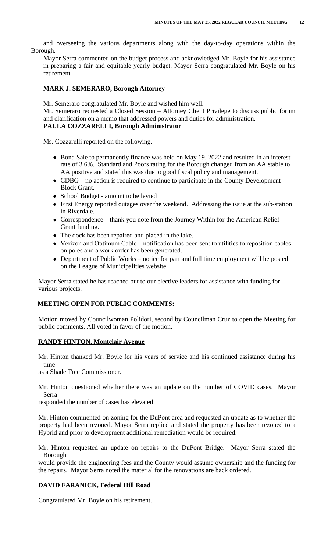and overseeing the various departments along with the day-to-day operations within the Borough.

Mayor Serra commented on the budget process and acknowledged Mr. Boyle for his assistance in preparing a fair and equitable yearly budget. Mayor Serra congratulated Mr. Boyle on his retirement.

### **MARK J. SEMERARO, Borough Attorney**

Mr. Semeraro congratulated Mr. Boyle and wished him well.

Mr. Semeraro requested a Closed Session – Attorney Client Privilege to discuss public forum and clarification on a memo that addressed powers and duties for administration.

# **PAULA COZZARELLI, Borough Administrator**

Ms. Cozzarelli reported on the following.

- Bond Sale to permanently finance was held on May 19, 2022 and resulted in an interest rate of 3.6%. Standard and Poors rating for the Borough changed from an AA stable to AA positive and stated this was due to good fiscal policy and management.
- CDBG no action is required to continue to participate in the County Development Block Grant.
- School Budget amount to be levied
- First Energy reported outages over the weekend. Addressing the issue at the sub-station in Riverdale.
- Correspondence thank you note from the Journey Within for the American Relief Grant funding.
- The dock has been repaired and placed in the lake.
- Verizon and Optimum Cable notification has been sent to utilities to reposition cables on poles and a work order has been generated.
- Department of Public Works notice for part and full time employment will be posted on the League of Municipalities website.

Mayor Serra stated he has reached out to our elective leaders for assistance with funding for various projects.

# **MEETING OPEN FOR PUBLIC COMMENTS:**

Motion moved by Councilwoman Polidori, second by Councilman Cruz to open the Meeting for public comments. All voted in favor of the motion.

# **RANDY HINTON, Montclair Avenue**

Mr. Hinton thanked Mr. Boyle for his years of service and his continued assistance during his time

as a Shade Tree Commissioner.

Mr. Hinton questioned whether there was an update on the number of COVID cases. Mayor Serra

responded the number of cases has elevated.

Mr. Hinton commented on zoning for the DuPont area and requested an update as to whether the property had been rezoned. Mayor Serra replied and stated the property has been rezoned to a Hybrid and prior to development additional remediation would be required.

Mr. Hinton requested an update on repairs to the DuPont Bridge. Mayor Serra stated the Borough

would provide the engineering fees and the County would assume ownership and the funding for the repairs. Mayor Serra noted the material for the renovations are back ordered.

# **DAVID FARANICK, Federal Hill Road**

Congratulated Mr. Boyle on his retirement.